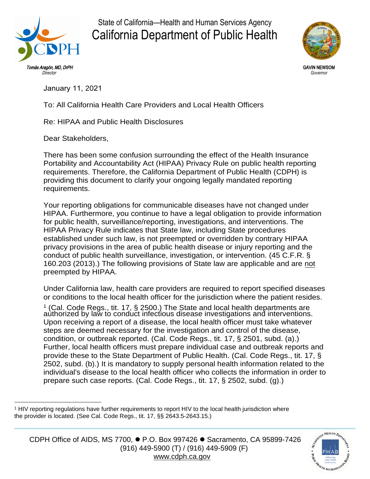

State of California—Health and Human Services Agency California Department of Public Health



GAVIN NEWSOM *Governor* 

January 11, 2021

To: All California Health Care Providers and Local Health Officers

Re: HIPAA and Public Health Disclosures

Dear Stakeholders,

There has been some confusion surrounding the effect of the Health Insurance Portability and Accountability Act (HIPAA) Privacy Rule on public health reporting requirements. Therefore, the California Department of Public Health [\(CDPH\)](http://www.cdph.ca.gov/) is providing this document to clarify your ongoing legally mandated reporting requirements.

Your reporting obligations for communicable diseases have not changed under HIPAA. Furthermore, you continue to have a legal obligation to provide information for public health, surveillance/reporting, investigations, and interventions. The HIPAA Privacy Rule indicates that State law, including State procedures established under such law, is not preempted or overridden by contrary HIPAA privacy provisions in the area of public health disease or injury reporting and the conduct of public health surveillance, investigation, or intervention. (45 C.F.R. § 160.203 (2013).) The following provisions of State law are applicable and are not preempted by HIPAA.

Under California law, health care providers are required to report specified diseases or conditions to the local health officer for the jurisdiction where the patient resides.

(Cal. Code Regs., tit. 17, § 2500.) The State and local health departments are authorized by law to conduct infectious disease investigations and interventions. Upon receiving a report of a disease, the local health officer must take whatever steps are deemed necessary for the investigation and control of the disease, condition, or outbreak reported. (Cal. Code Regs., tit. 17, § 2501, subd. (a).) Further, local health officers must prepare individual case and outbreak reports and provide these to the State Department of Public Health. (Cal. Code Regs., tit. 17, § 2502, subd. (b).) It is mandatory to supply personal health information related to the individual's disease to the local health officer who collects the information in order to prepare such case reports. (Cal. Code Regs., tit. 17, § 2502, subd. (g).) 1



<sup>&</sup>lt;sup>1</sup> HIV reporting regulations have further requirements to report HIV to the local health jurisdiction where the provider is located. (See Cal. Code Regs., tit. 17, §§ 2643.5-2643.15.)